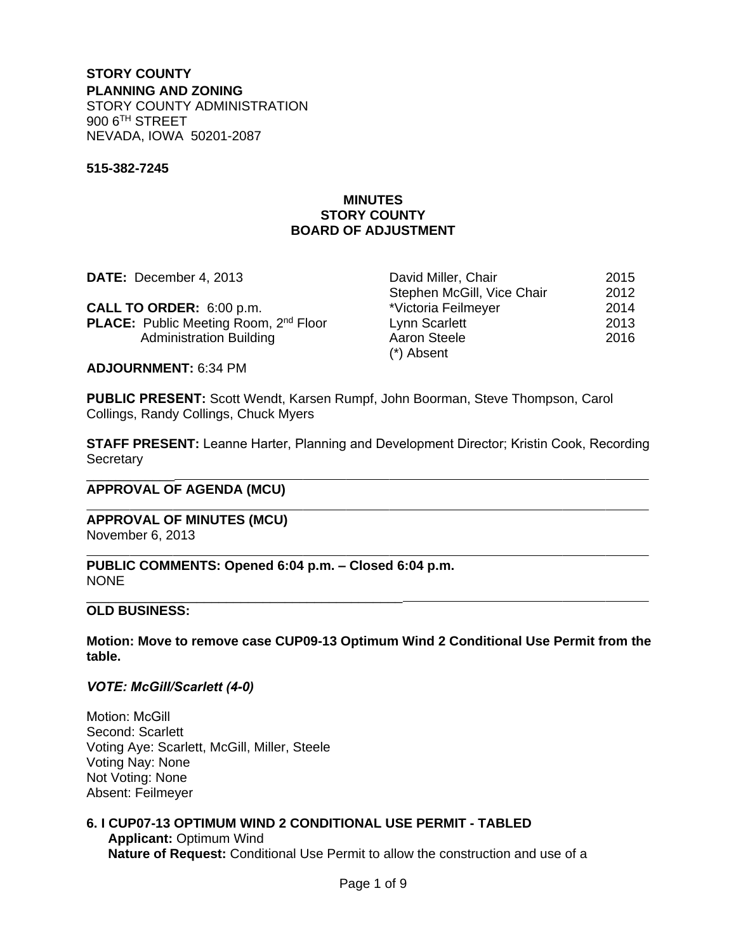#### **STORY COUNTY PLANNING AND ZONING** STORY COUNTY ADMINISTRATION 900 6TH STREET NEVADA, IOWA 50201-2087

#### **515-382-7245**

## **MINUTES STORY COUNTY BOARD OF ADJUSTMENT**

| DATE: December 4, 2013                                   | David Miller, Chair        | 2015 |
|----------------------------------------------------------|----------------------------|------|
|                                                          | Stephen McGill, Vice Chair | 2012 |
| CALL TO ORDER: 6:00 p.m.                                 | *Victoria Feilmeyer        | 2014 |
| <b>PLACE:</b> Public Meeting Room, 2 <sup>nd</sup> Floor | Lynn Scarlett              | 2013 |
| <b>Administration Building</b>                           | Aaron Steele               | 2016 |
|                                                          | $(*)$ Absent               |      |

**ADJOURNMENT:** 6:34 PM

**PUBLIC PRESENT:** Scott Wendt, Karsen Rumpf, John Boorman, Steve Thompson, Carol Collings, Randy Collings, Chuck Myers

**STAFF PRESENT:** Leanne Harter, Planning and Development Director; Kristin Cook, Recording **Secretary** 

#### \_\_\_\_\_\_\_\_\_\_\_\_ **APPROVAL OF AGENDA (MCU)**

**APPROVAL OF MINUTES (MCU)** November 6, 2013

**PUBLIC COMMENTS: Opened 6:04 p.m. – Closed 6:04 p.m.** NONE

#### \_\_\_\_\_\_\_\_\_\_\_\_\_\_\_\_\_\_\_\_\_\_\_\_\_\_\_\_\_\_\_\_\_\_\_\_\_\_\_\_\_\_\_ **OLD BUSINESS:**

 $\overline{a}$ 

 $\overline{a}$ 

**Motion: Move to remove case CUP09-13 Optimum Wind 2 Conditional Use Permit from the table.** 

*VOTE: McGill/Scarlett (4-0)*

Motion: McGill Second: Scarlett Voting Aye: Scarlett, McGill, Miller, Steele Voting Nay: None Not Voting: None Absent: Feilmeyer

# **6. I CUP07-13 OPTIMUM WIND 2 CONDITIONAL USE PERMIT - TABLED**

**Applicant:** Optimum Wind **Nature of Request:** Conditional Use Permit to allow the construction and use of a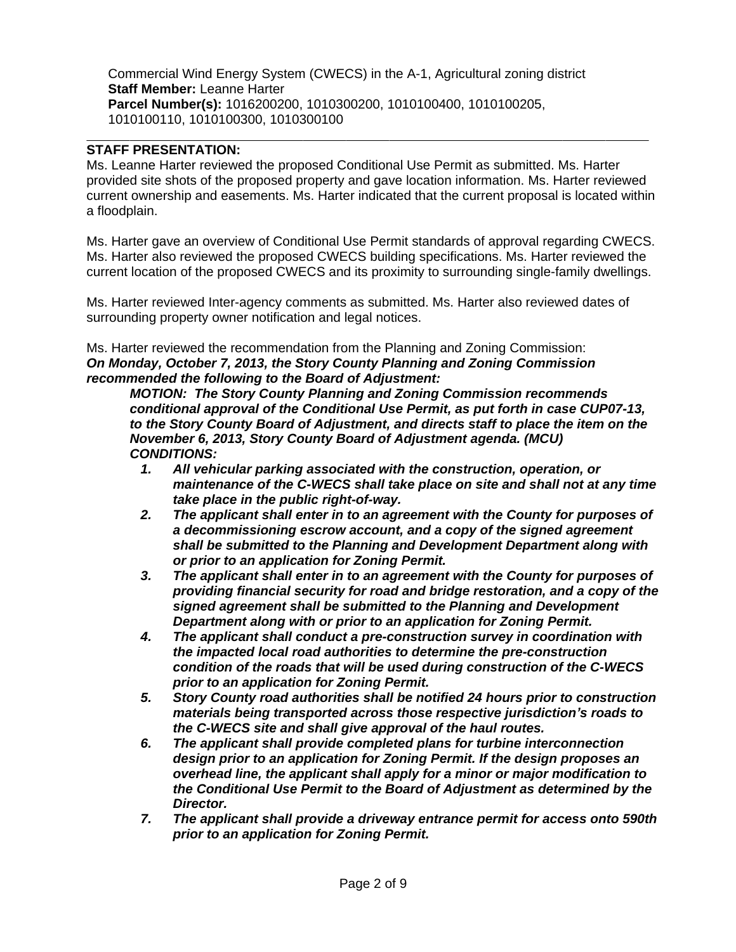Commercial Wind Energy System (CWECS) in the A-1, Agricultural zoning district **Staff Member:** Leanne Harter **Parcel Number(s):** 1016200200, 1010300200, 1010100400, 1010100205, 1010100110, 1010100300, 1010300100

## **STAFF PRESENTATION:**

 $\overline{a}$ 

Ms. Leanne Harter reviewed the proposed Conditional Use Permit as submitted. Ms. Harter provided site shots of the proposed property and gave location information. Ms. Harter reviewed current ownership and easements. Ms. Harter indicated that the current proposal is located within a floodplain.

Ms. Harter gave an overview of Conditional Use Permit standards of approval regarding CWECS. Ms. Harter also reviewed the proposed CWECS building specifications. Ms. Harter reviewed the current location of the proposed CWECS and its proximity to surrounding single-family dwellings.

Ms. Harter reviewed Inter-agency comments as submitted. Ms. Harter also reviewed dates of surrounding property owner notification and legal notices.

Ms. Harter reviewed the recommendation from the Planning and Zoning Commission: *On Monday, October 7, 2013, the Story County Planning and Zoning Commission recommended the following to the Board of Adjustment:*

*MOTION: The Story County Planning and Zoning Commission recommends conditional approval of the Conditional Use Permit, as put forth in case CUP07-13, to the Story County Board of Adjustment, and directs staff to place the item on the November 6, 2013, Story County Board of Adjustment agenda. (MCU) CONDITIONS:*

- *1. All vehicular parking associated with the construction, operation, or maintenance of the C-WECS shall take place on site and shall not at any time take place in the public right-of-way.*
- *2. The applicant shall enter in to an agreement with the County for purposes of a decommissioning escrow account, and a copy of the signed agreement shall be submitted to the Planning and Development Department along with or prior to an application for Zoning Permit.*
- *3. The applicant shall enter in to an agreement with the County for purposes of providing financial security for road and bridge restoration, and a copy of the signed agreement shall be submitted to the Planning and Development Department along with or prior to an application for Zoning Permit.*
- *4. The applicant shall conduct a pre-construction survey in coordination with the impacted local road authorities to determine the pre-construction condition of the roads that will be used during construction of the C-WECS prior to an application for Zoning Permit.*
- *5. Story County road authorities shall be notified 24 hours prior to construction materials being transported across those respective jurisdiction's roads to the C-WECS site and shall give approval of the haul routes.*
- *6. The applicant shall provide completed plans for turbine interconnection design prior to an application for Zoning Permit. If the design proposes an overhead line, the applicant shall apply for a minor or major modification to the Conditional Use Permit to the Board of Adjustment as determined by the Director.*
- *7. The applicant shall provide a driveway entrance permit for access onto 590th prior to an application for Zoning Permit.*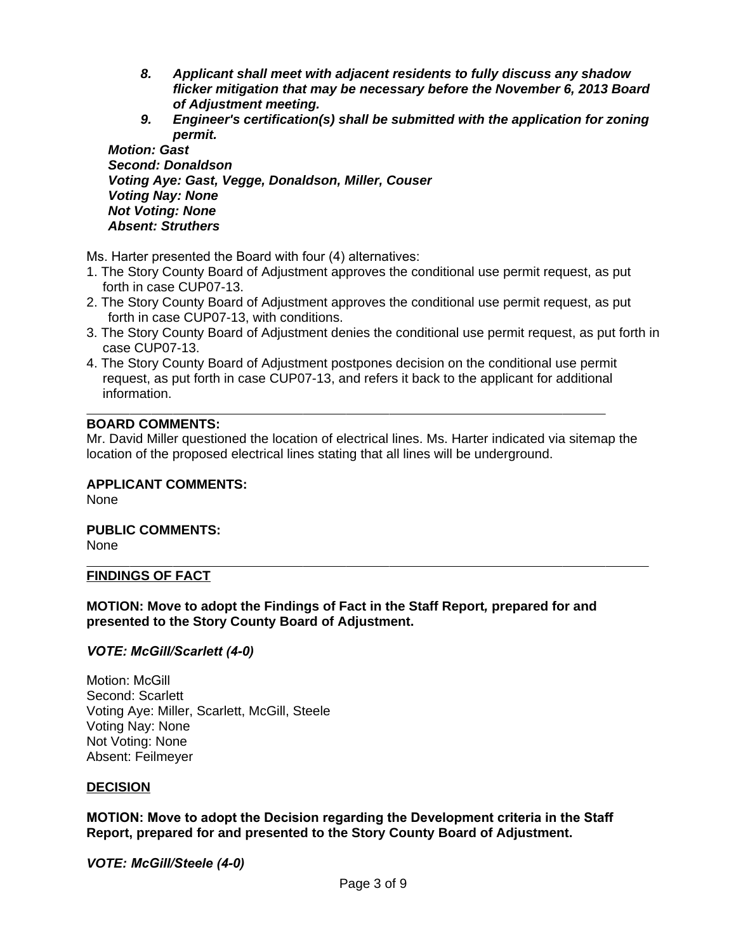- *8. Applicant shall meet with adjacent residents to fully discuss any shadow flicker mitigation that may be necessary before the November 6, 2013 Board of Adjustment meeting.*
- *9. Engineer's certification(s) shall be submitted with the application for zoning permit.*

*Motion: Gast Second: Donaldson Voting Aye: Gast, Vegge, Donaldson, Miller, Couser Voting Nay: None Not Voting: None Absent: Struthers*

Ms. Harter presented the Board with four (4) alternatives:

- 1. The Story County Board of Adjustment approves the conditional use permit request, as put forth in case CUP07-13.
- 2. The Story County Board of Adjustment approves the conditional use permit request, as put forth in case CUP07-13, with conditions.
- 3. The Story County Board of Adjustment denies the conditional use permit request, as put forth in case CUP07-13.
- 4. The Story County Board of Adjustment postpones decision on the conditional use permit request, as put forth in case CUP07-13, and refers it back to the applicant for additional information.

#### $\overline{a}$ **BOARD COMMENTS:**

Mr. David Miller questioned the location of electrical lines. Ms. Harter indicated via sitemap the location of the proposed electrical lines stating that all lines will be underground.

#### **APPLICANT COMMENTS:**

None

# **PUBLIC COMMENTS:**

None

 $\overline{a}$ 

#### **FINDINGS OF FACT**

#### **MOTION: Move to adopt the Findings of Fact in the Staff Report***,* **prepared for and presented to the Story County Board of Adjustment.**

*VOTE: McGill/Scarlett (4-0)*

Motion: McGill Second: Scarlett Voting Aye: Miller, Scarlett, McGill, Steele Voting Nay: None Not Voting: None Absent: Feilmeyer

#### **DECISION**

**MOTION: Move to adopt the Decision regarding the Development criteria in the Staff Report, prepared for and presented to the Story County Board of Adjustment.**

*VOTE: McGill/Steele (4-0)*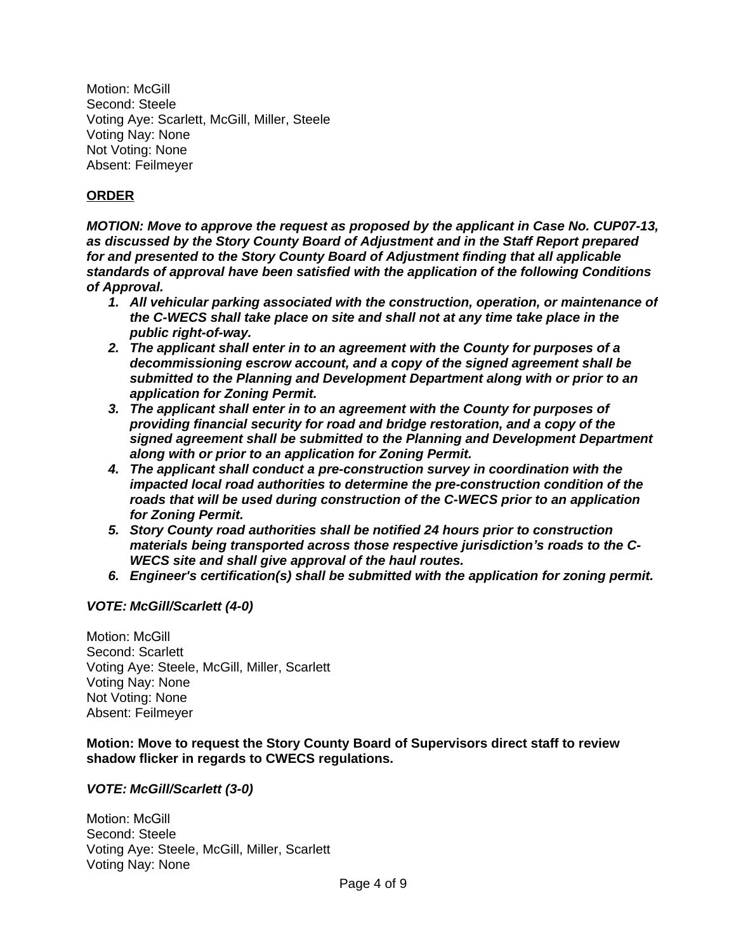Motion: McGill Second: Steele Voting Aye: Scarlett, McGill, Miller, Steele Voting Nay: None Not Voting: None Absent: Feilmeyer

# **ORDER**

*MOTION: Move to approve the request as proposed by the applicant in Case No. CUP07-13, as discussed by the Story County Board of Adjustment and in the Staff Report prepared for and presented to the Story County Board of Adjustment finding that all applicable standards of approval have been satisfied with the application of the following Conditions of Approval.*

- *1. All vehicular parking associated with the construction, operation, or maintenance of the C-WECS shall take place on site and shall not at any time take place in the public right-of-way.*
- *2. The applicant shall enter in to an agreement with the County for purposes of a decommissioning escrow account, and a copy of the signed agreement shall be submitted to the Planning and Development Department along with or prior to an application for Zoning Permit.*
- *3. The applicant shall enter in to an agreement with the County for purposes of providing financial security for road and bridge restoration, and a copy of the signed agreement shall be submitted to the Planning and Development Department along with or prior to an application for Zoning Permit.*
- *4. The applicant shall conduct a pre-construction survey in coordination with the impacted local road authorities to determine the pre-construction condition of the roads that will be used during construction of the C-WECS prior to an application for Zoning Permit.*
- *5. Story County road authorities shall be notified 24 hours prior to construction materials being transported across those respective jurisdiction's roads to the C-WECS site and shall give approval of the haul routes.*
- *6. Engineer's certification(s) shall be submitted with the application for zoning permit.*

# *VOTE: McGill/Scarlett (4-0)*

Motion: McGill Second: Scarlett Voting Aye: Steele, McGill, Miller, Scarlett Voting Nay: None Not Voting: None Absent: Feilmeyer

# **Motion: Move to request the Story County Board of Supervisors direct staff to review shadow flicker in regards to CWECS regulations.**

# *VOTE: McGill/Scarlett (3-0)*

Motion: McGill Second: Steele Voting Aye: Steele, McGill, Miller, Scarlett Voting Nay: None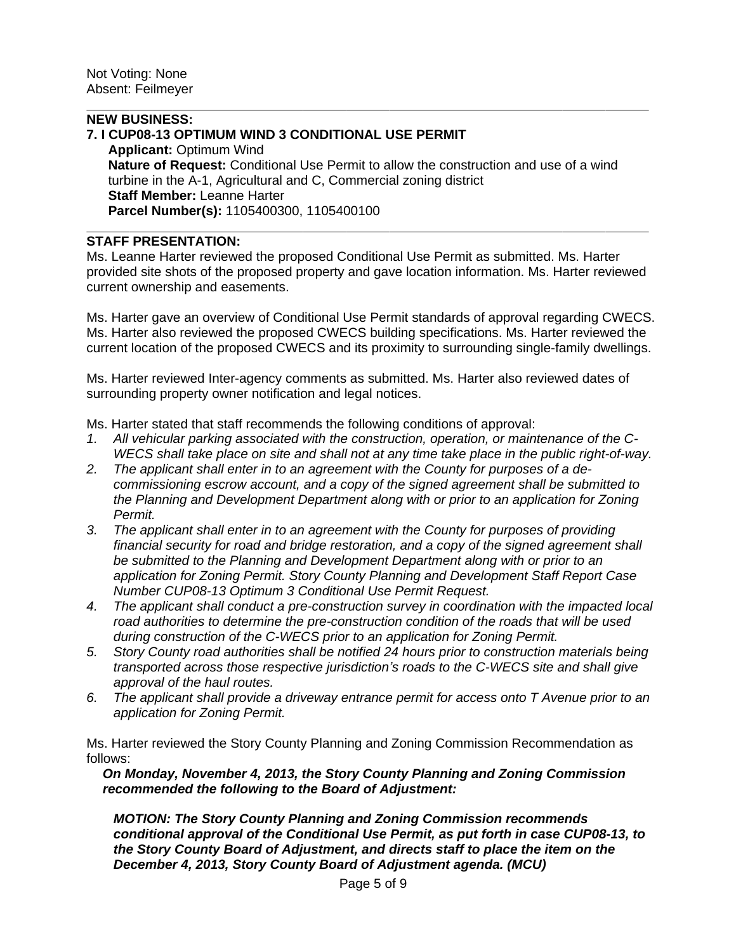# **NEW BUSINESS:**

 $\overline{a}$ 

 $\overline{a}$ 

# **7. I CUP08-13 OPTIMUM WIND 3 CONDITIONAL USE PERMIT**

**Applicant:** Optimum Wind **Nature of Request:** Conditional Use Permit to allow the construction and use of a wind turbine in the A-1, Agricultural and C, Commercial zoning district **Staff Member:** Leanne Harter **Parcel Number(s):** 1105400300, 1105400100

#### **STAFF PRESENTATION:**

Ms. Leanne Harter reviewed the proposed Conditional Use Permit as submitted. Ms. Harter provided site shots of the proposed property and gave location information. Ms. Harter reviewed current ownership and easements.

Ms. Harter gave an overview of Conditional Use Permit standards of approval regarding CWECS. Ms. Harter also reviewed the proposed CWECS building specifications. Ms. Harter reviewed the current location of the proposed CWECS and its proximity to surrounding single-family dwellings.

Ms. Harter reviewed Inter-agency comments as submitted. Ms. Harter also reviewed dates of surrounding property owner notification and legal notices.

Ms. Harter stated that staff recommends the following conditions of approval:

- *1. All vehicular parking associated with the construction, operation, or maintenance of the C-WECS shall take place on site and shall not at any time take place in the public right-of-way.*
- *2. The applicant shall enter in to an agreement with the County for purposes of a decommissioning escrow account, and a copy of the signed agreement shall be submitted to the Planning and Development Department along with or prior to an application for Zoning Permit.*
- *3. The applicant shall enter in to an agreement with the County for purposes of providing financial security for road and bridge restoration, and a copy of the signed agreement shall be submitted to the Planning and Development Department along with or prior to an application for Zoning Permit. Story County Planning and Development Staff Report Case Number CUP08-13 Optimum 3 Conditional Use Permit Request.*
- *4. The applicant shall conduct a pre-construction survey in coordination with the impacted local road authorities to determine the pre-construction condition of the roads that will be used during construction of the C-WECS prior to an application for Zoning Permit.*
- *5. Story County road authorities shall be notified 24 hours prior to construction materials being transported across those respective jurisdiction's roads to the C-WECS site and shall give approval of the haul routes.*
- *6. The applicant shall provide a driveway entrance permit for access onto T Avenue prior to an application for Zoning Permit.*

Ms. Harter reviewed the Story County Planning and Zoning Commission Recommendation as follows:

*On Monday, November 4, 2013, the Story County Planning and Zoning Commission recommended the following to the Board of Adjustment:* 

*MOTION: The Story County Planning and Zoning Commission recommends conditional approval of the Conditional Use Permit, as put forth in case CUP08-13, to the Story County Board of Adjustment, and directs staff to place the item on the December 4, 2013, Story County Board of Adjustment agenda. (MCU)*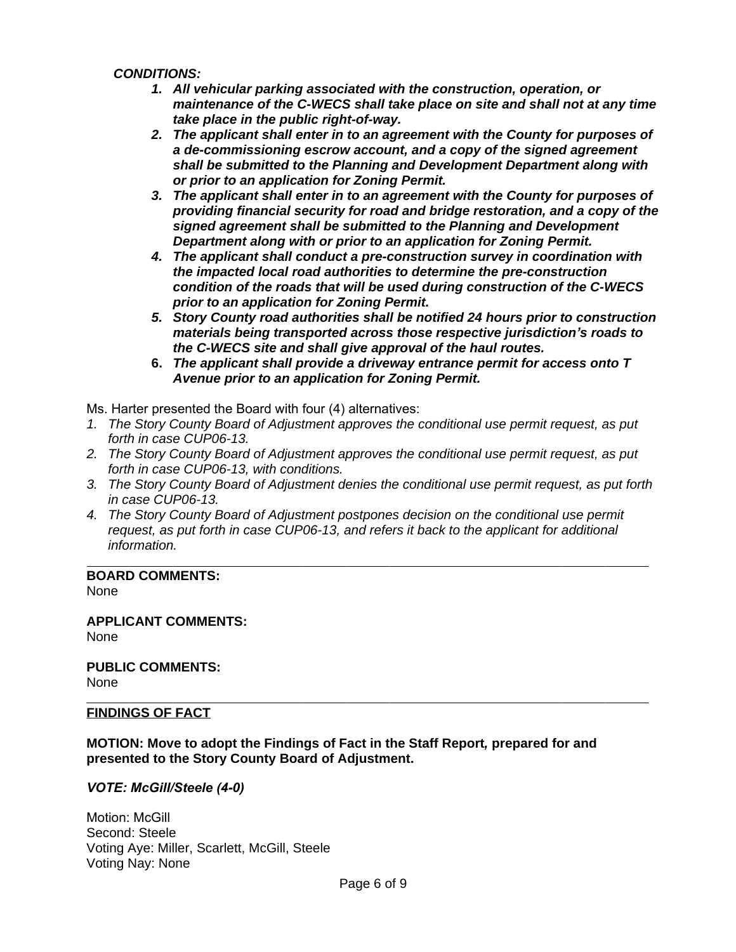*CONDITIONS:*

- *1. All vehicular parking associated with the construction, operation, or maintenance of the C-WECS shall take place on site and shall not at any time take place in the public right-of-way.*
- *2. The applicant shall enter in to an agreement with the County for purposes of a de-commissioning escrow account, and a copy of the signed agreement shall be submitted to the Planning and Development Department along with or prior to an application for Zoning Permit.*
- *3. The applicant shall enter in to an agreement with the County for purposes of providing financial security for road and bridge restoration, and a copy of the signed agreement shall be submitted to the Planning and Development Department along with or prior to an application for Zoning Permit.*
- *4. The applicant shall conduct a pre-construction survey in coordination with the impacted local road authorities to determine the pre-construction condition of the roads that will be used during construction of the C-WECS prior to an application for Zoning Permit.*
- *5. Story County road authorities shall be notified 24 hours prior to construction materials being transported across those respective jurisdiction's roads to the C-WECS site and shall give approval of the haul routes.*
- **6.** *The applicant shall provide a driveway entrance permit for access onto T Avenue prior to an application for Zoning Permit.*

Ms. Harter presented the Board with four (4) alternatives:

- *1. The Story County Board of Adjustment approves the conditional use permit request, as put forth in case CUP06-13.*
- *2. The Story County Board of Adjustment approves the conditional use permit request, as put forth in case CUP06-13, with conditions.*
- *3. The Story County Board of Adjustment denies the conditional use permit request, as put forth in case CUP06-13.*
- *4. The Story County Board of Adjustment postpones decision on the conditional use permit request, as put forth in case CUP06-13, and refers it back to the applicant for additional information.*

 $\overline{a}$ **BOARD COMMENTS:** None

**APPLICANT COMMENTS:** None

**PUBLIC COMMENTS:** None

# **FINDINGS OF FACT**

 $\overline{a}$ 

**MOTION: Move to adopt the Findings of Fact in the Staff Report***,* **prepared for and presented to the Story County Board of Adjustment.**

*VOTE: McGill/Steele (4-0)*

Motion: McGill Second: Steele Voting Aye: Miller, Scarlett, McGill, Steele Voting Nay: None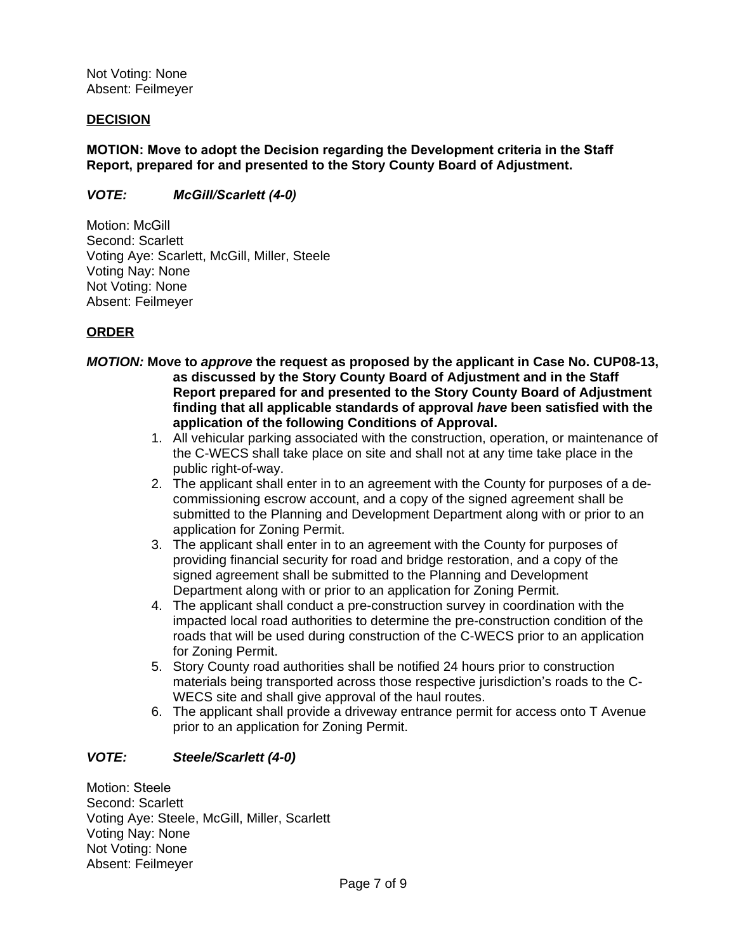Not Voting: None Absent: Feilmeyer

#### **DECISION**

**MOTION: Move to adopt the Decision regarding the Development criteria in the Staff Report, prepared for and presented to the Story County Board of Adjustment.**

*VOTE: McGill/Scarlett (4-0)*

Motion: McGill Second: Scarlett Voting Aye: Scarlett, McGill, Miller, Steele Voting Nay: None Not Voting: None Absent: Feilmeyer

# **ORDER**

- *MOTION:* **Move to** *approve* **the request as proposed by the applicant in Case No. CUP08-13, as discussed by the Story County Board of Adjustment and in the Staff Report prepared for and presented to the Story County Board of Adjustment finding that all applicable standards of approval** *have* **been satisfied with the application of the following Conditions of Approval.**
	- 1. All vehicular parking associated with the construction, operation, or maintenance of the C-WECS shall take place on site and shall not at any time take place in the public right-of-way.
	- 2. The applicant shall enter in to an agreement with the County for purposes of a decommissioning escrow account, and a copy of the signed agreement shall be submitted to the Planning and Development Department along with or prior to an application for Zoning Permit.
	- 3. The applicant shall enter in to an agreement with the County for purposes of providing financial security for road and bridge restoration, and a copy of the signed agreement shall be submitted to the Planning and Development Department along with or prior to an application for Zoning Permit.
	- 4. The applicant shall conduct a pre-construction survey in coordination with the impacted local road authorities to determine the pre-construction condition of the roads that will be used during construction of the C-WECS prior to an application for Zoning Permit.
	- 5. Story County road authorities shall be notified 24 hours prior to construction materials being transported across those respective jurisdiction's roads to the C-WECS site and shall give approval of the haul routes.
	- 6. The applicant shall provide a driveway entrance permit for access onto T Avenue prior to an application for Zoning Permit.

# *VOTE: Steele/Scarlett (4-0)*

Motion: Steele Second: Scarlett Voting Aye: Steele, McGill, Miller, Scarlett Voting Nay: None Not Voting: None Absent: Feilmeyer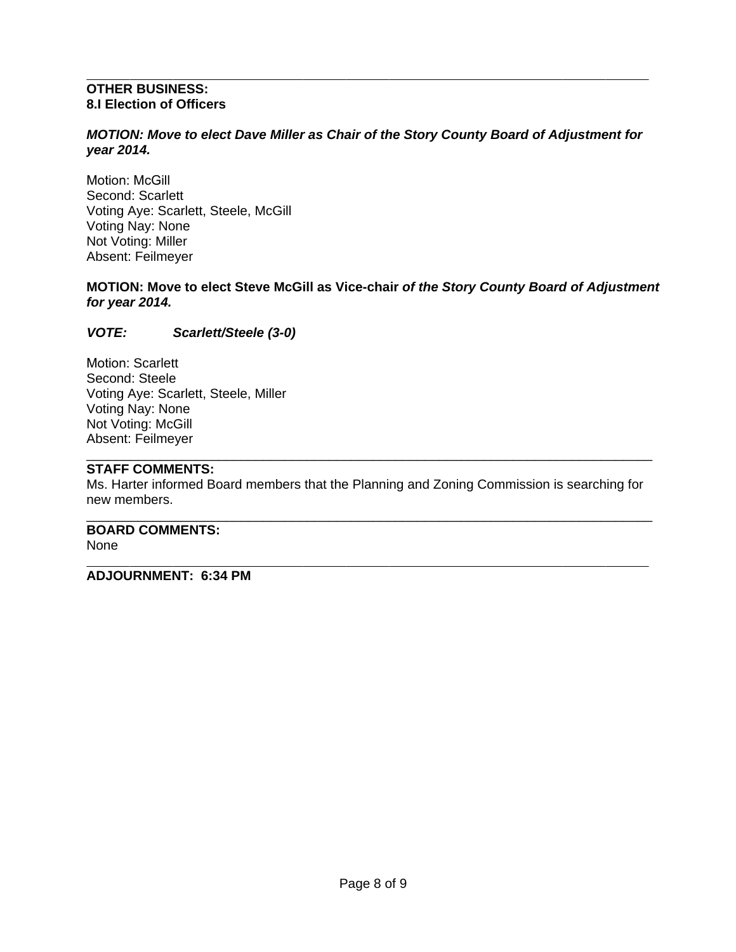#### $\overline{a}$ **OTHER BUSINESS: 8.I Election of Officers**

## *MOTION: Move to elect Dave Miller as Chair of the Story County Board of Adjustment for year 2014.*

Motion: McGill Second: Scarlett Voting Aye: Scarlett, Steele, McGill Voting Nay: None Not Voting: Miller Absent: Feilmeyer

# **MOTION: Move to elect Steve McGill as Vice-chair** *of the Story County Board of Adjustment for year 2014.*

*VOTE: Scarlett/Steele (3-0)*

Motion: Scarlett Second: Steele Voting Aye: Scarlett, Steele, Miller Voting Nay: None Not Voting: McGill Absent: Feilmeyer

#### \_\_\_\_\_\_\_\_\_\_\_\_\_\_\_\_\_\_\_\_\_\_\_\_\_\_\_\_\_\_\_\_\_\_\_\_\_\_\_\_\_\_\_\_\_\_\_\_\_\_\_\_\_\_\_\_\_\_\_\_\_\_\_\_\_\_\_\_\_\_\_\_\_\_\_\_\_ **STAFF COMMENTS:**

Ms. Harter informed Board members that the Planning and Zoning Commission is searching for new members.

\_\_\_\_\_\_\_\_\_\_\_\_\_\_\_\_\_\_\_\_\_\_\_\_\_\_\_\_\_\_\_\_\_\_\_\_\_\_\_\_\_\_\_\_\_\_\_\_\_\_\_\_\_\_\_\_\_\_\_\_\_\_\_\_\_\_\_\_\_\_\_\_\_\_\_\_\_ **BOARD COMMENTS:** None

#### $\overline{a}$ **ADJOURNMENT: 6:34 PM**